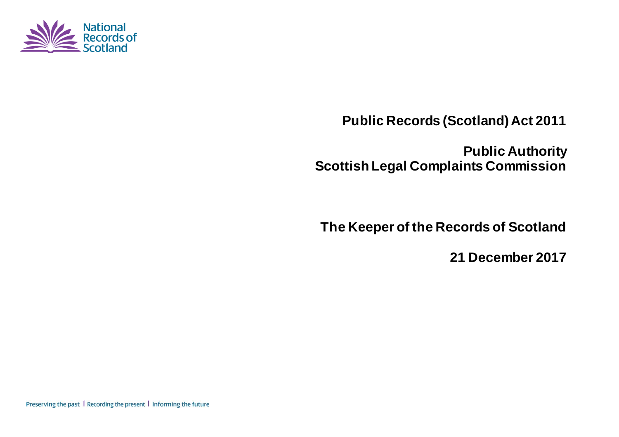

**Public Records (Scotland) Act 2011** 

**Public Authority Scottish Legal Complaints Commission** 

**The Keeper of the Records of Scotland** 

**21 December 2017**

Preserving the past | Recording the present | Informing the future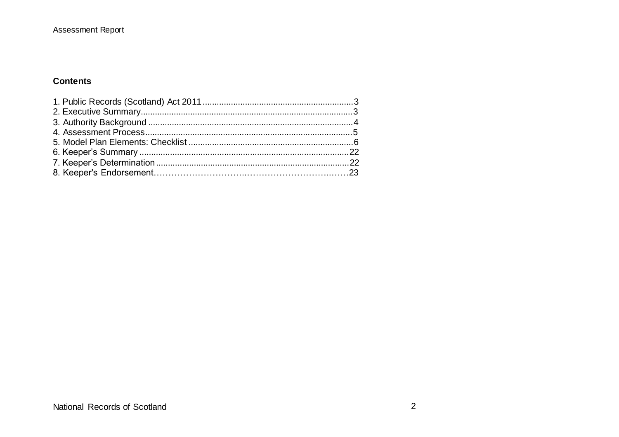### **Contents**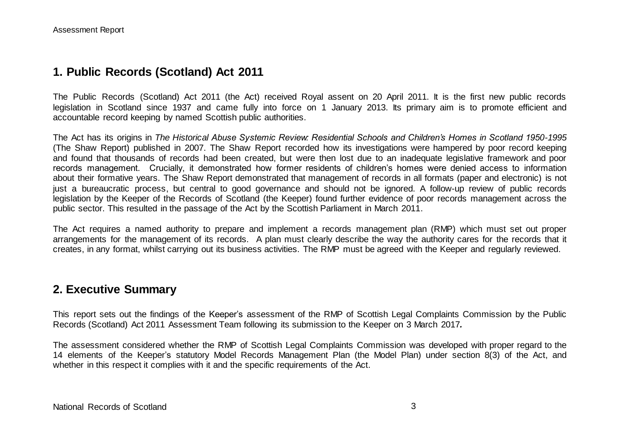## **1. Public Records (Scotland) Act 2011**

The Public Records (Scotland) Act 2011 (the Act) received Royal assent on 20 April 2011. It is the first new public records legislation in Scotland since 1937 and came fully into force on 1 January 2013. Its primary aim is to promote efficient and accountable record keeping by named Scottish public authorities.

The Act has its origins in *The Historical Abuse Systemic Review: Residential Schools and Children's Homes in Scotland 1950-1995* (The Shaw Report) published in 2007. The Shaw Report recorded how its investigations were hampered by poor record keeping and found that thousands of records had been created, but were then lost due to an inadequate legislative framework and poor records management. Crucially, it demonstrated how former residents of children's homes were denied access to information about their formative years. The Shaw Report demonstrated that management of records in all formats (paper and electronic) is not just a bureaucratic process, but central to good governance and should not be ignored. A follow-up review of public records legislation by the Keeper of the Records of Scotland (the Keeper) found further evidence of poor records management across the public sector. This resulted in the passage of the Act by the Scottish Parliament in March 2011.

The Act requires a named authority to prepare and implement a records management plan (RMP) which must set out proper arrangements for the management of its records. A plan must clearly describe the way the authority cares for the records that it creates, in any format, whilst carrying out its business activities. The RMP must be agreed with the Keeper and regularly reviewed.

## **2. Executive Summary**

This report sets out the findings of the Keeper's assessment of the RMP of Scottish Legal Complaints Commission by the Public Records (Scotland) Act 2011 Assessment Team following its submission to the Keeper on 3 March 2017*.*

The assessment considered whether the RMP of Scottish Legal Complaints Commission was developed with proper regard to the 14 elements of the Keeper's statutory Model Records Management Plan (the Model Plan) under section 8(3) of the Act, and whether in this respect it complies with it and the specific requirements of the Act.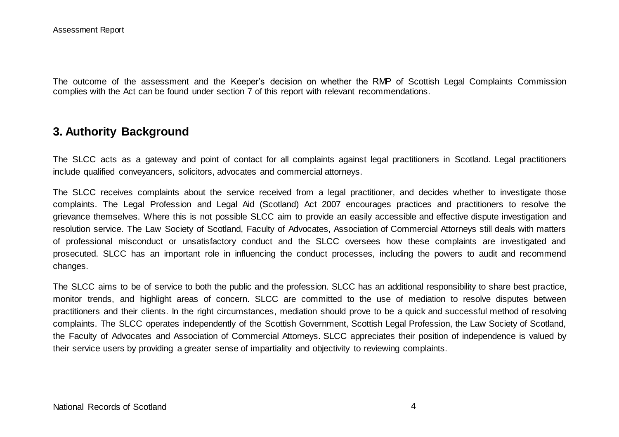The outcome of the assessment and the Keeper's decision on whether the RMP of Scottish Legal Complaints Commission complies with the Act can be found under section 7 of this report with relevant recommendations.

## **3. Authority Background**

The SLCC acts as a gateway and point of contact for all complaints against legal practitioners in Scotland. Legal practitioners include qualified conveyancers, solicitors, advocates and commercial attorneys.

The SLCC receives complaints about the service received from a legal practitioner, and decides whether to investigate those complaints. The Legal Profession and Legal Aid (Scotland) Act 2007 encourages practices and practitioners to resolve the grievance themselves. Where this is not possible SLCC aim to provide an easily accessible and effective dispute investigation and resolution service. The Law Society of Scotland, Faculty of Advocates, Association of Commercial Attorneys still deals with matters of professional misconduct or unsatisfactory conduct and the SLCC oversees how these complaints are investigated and prosecuted. SLCC has an important role in influencing the conduct processes, including the powers to audit and recommend changes.

The SLCC aims to be of service to both the public and the profession. SLCC has an additional responsibility to share best practice, monitor trends, and highlight areas of concern. SLCC are committed to the use of mediation to resolve disputes between practitioners and their clients. In the right circumstances, mediation should prove to be a quick and successful method of resolving complaints. The SLCC operates independently of the Scottish Government, Scottish Legal Profession, the Law Society of Scotland, the Faculty of Advocates and Association of Commercial Attorneys. SLCC appreciates their position of independence is valued by their service users by providing a greater sense of impartiality and objectivity to reviewing complaints.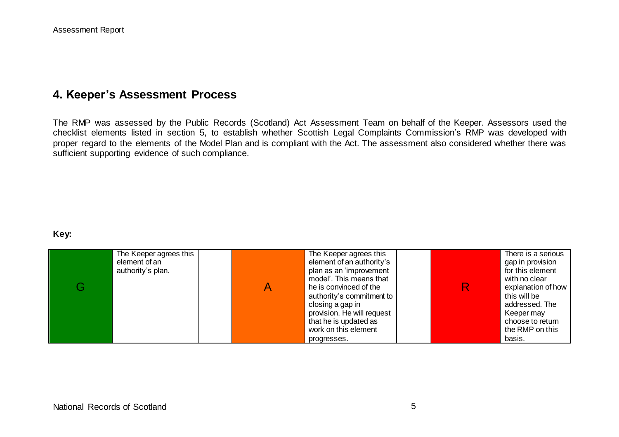# **4. Keeper's Assessment Process**

The RMP was assessed by the Public Records (Scotland) Act Assessment Team on behalf of the Keeper. Assessors used the checklist elements listed in section 5, to establish whether Scottish Legal Complaints Commission's RMP was developed with proper regard to the elements of the Model Plan and is compliant with the Act. The assessment also considered whether there was sufficient supporting evidence of such compliance.

#### **Key:**

| The Keeper agrees this<br>element of an<br>authority's plan. | The Keeper agrees this<br>element of an authority's<br>plan as an 'improvement<br>model'. This means that<br>he is convinced of the<br>authority's commitment to<br>closing a gap in<br>provision. He will request<br>that he is updated as<br>work on this element |  | There is a serious<br>gap in provision<br>for this element<br>with no clear<br>explanation of how<br>this will be<br>addressed. The<br>Keeper may<br>choose to return<br>the RMP on this |
|--------------------------------------------------------------|---------------------------------------------------------------------------------------------------------------------------------------------------------------------------------------------------------------------------------------------------------------------|--|------------------------------------------------------------------------------------------------------------------------------------------------------------------------------------------|
|                                                              | progresses.                                                                                                                                                                                                                                                         |  | basis.                                                                                                                                                                                   |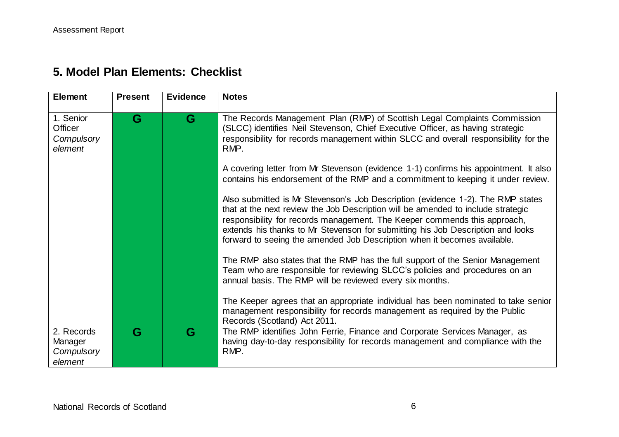# **5. Model Plan Elements: Checklist**

| <b>Element</b>                                 | <b>Present</b> | <b>Evidence</b> | <b>Notes</b>                                                                                                                                                                                                                                                                                                                                                                                                    |
|------------------------------------------------|----------------|-----------------|-----------------------------------------------------------------------------------------------------------------------------------------------------------------------------------------------------------------------------------------------------------------------------------------------------------------------------------------------------------------------------------------------------------------|
| 1. Senior<br>Officer<br>Compulsory<br>element  | G              | G               | The Records Management Plan (RMP) of Scottish Legal Complaints Commission<br>(SLCC) identifies Neil Stevenson, Chief Executive Officer, as having strategic<br>responsibility for records management within SLCC and overall responsibility for the<br>RMP.                                                                                                                                                     |
|                                                |                |                 | A covering letter from Mr Stevenson (evidence 1-1) confirms his appointment. It also<br>contains his endorsement of the RMP and a commitment to keeping it under review.                                                                                                                                                                                                                                        |
|                                                |                |                 | Also submitted is Mr Stevenson's Job Description (evidence 1-2). The RMP states<br>that at the next review the Job Description will be amended to include strategic<br>responsibility for records management. The Keeper commends this approach,<br>extends his thanks to Mr Stevenson for submitting his Job Description and looks<br>forward to seeing the amended Job Description when it becomes available. |
|                                                |                |                 | The RMP also states that the RMP has the full support of the Senior Management<br>Team who are responsible for reviewing SLCC's policies and procedures on an<br>annual basis. The RMP will be reviewed every six months.                                                                                                                                                                                       |
|                                                |                |                 | The Keeper agrees that an appropriate individual has been nominated to take senior<br>management responsibility for records management as required by the Public<br>Records (Scotland) Act 2011.                                                                                                                                                                                                                |
| 2. Records<br>Manager<br>Compulsory<br>element | G              | G               | The RMP identifies John Ferrie, Finance and Corporate Services Manager, as<br>having day-to-day responsibility for records management and compliance with the<br>RMP.                                                                                                                                                                                                                                           |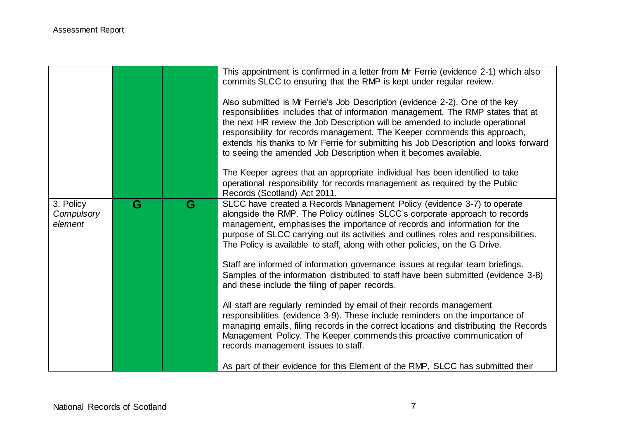|                                    |   |   | This appointment is confirmed in a letter from Mr Ferrie (evidence 2-1) which also<br>commits SLCC to ensuring that the RMP is kept under regular review.<br>Also submitted is Mr Ferrie's Job Description (evidence 2-2). One of the key<br>responsibilities includes that of information management. The RMP states that at<br>the next HR review the Job Description will be amended to include operational<br>responsibility for records management. The Keeper commends this approach,<br>extends his thanks to Mr Ferrie for submitting his Job Description and looks forward<br>to seeing the amended Job Description when it becomes available. |
|------------------------------------|---|---|---------------------------------------------------------------------------------------------------------------------------------------------------------------------------------------------------------------------------------------------------------------------------------------------------------------------------------------------------------------------------------------------------------------------------------------------------------------------------------------------------------------------------------------------------------------------------------------------------------------------------------------------------------|
|                                    |   |   | The Keeper agrees that an appropriate individual has been identified to take<br>operational responsibility for records management as required by the Public<br>Records (Scotland) Act 2011.                                                                                                                                                                                                                                                                                                                                                                                                                                                             |
| 3. Policy<br>Compulsory<br>element | G | G | SLCC have created a Records Management Policy (evidence 3-7) to operate<br>alongside the RMP. The Policy outlines SLCC's corporate approach to records<br>management, emphasises the importance of records and information for the<br>purpose of SLCC carrying out its activities and outlines roles and responsibilities.<br>The Policy is available to staff, along with other policies, on the G Drive.                                                                                                                                                                                                                                              |
|                                    |   |   | Staff are informed of information governance issues at regular team briefings.<br>Samples of the information distributed to staff have been submitted (evidence 3-8)<br>and these include the filing of paper records.                                                                                                                                                                                                                                                                                                                                                                                                                                  |
|                                    |   |   | All staff are regularly reminded by email of their records management<br>responsibilities (evidence 3-9). These include reminders on the importance of<br>managing emails, filing records in the correct locations and distributing the Records<br>Management Policy. The Keeper commends this proactive communication of<br>records management issues to staff.                                                                                                                                                                                                                                                                                        |
|                                    |   |   | As part of their evidence for this Element of the RMP, SLCC has submitted their                                                                                                                                                                                                                                                                                                                                                                                                                                                                                                                                                                         |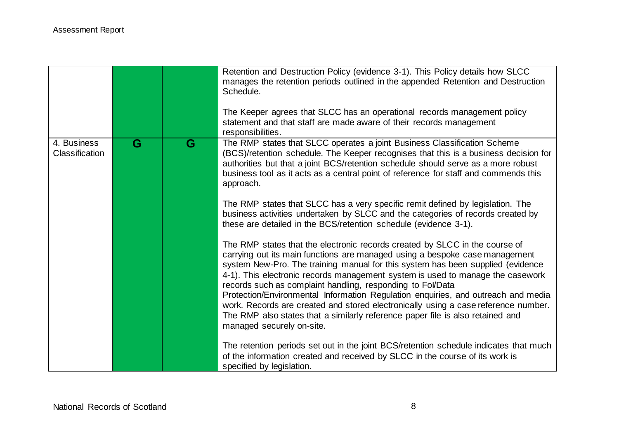|                                      |                         |   | Retention and Destruction Policy (evidence 3-1). This Policy details how SLCC<br>manages the retention periods outlined in the appended Retention and Destruction<br>Schedule.<br>The Keeper agrees that SLCC has an operational records management policy<br>statement and that staff are made aware of their records management<br>responsibilities.                                                                                                                                                                                                                                                                                                                                                                                                                                                                                                                                                                                  |
|--------------------------------------|-------------------------|---|-----------------------------------------------------------------------------------------------------------------------------------------------------------------------------------------------------------------------------------------------------------------------------------------------------------------------------------------------------------------------------------------------------------------------------------------------------------------------------------------------------------------------------------------------------------------------------------------------------------------------------------------------------------------------------------------------------------------------------------------------------------------------------------------------------------------------------------------------------------------------------------------------------------------------------------------|
| 4. Business<br><b>Classification</b> | $\overline{\mathbf{G}}$ | G | The RMP states that SLCC operates a joint Business Classification Scheme<br>(BCS)/retention schedule. The Keeper recognises that this is a business decision for<br>authorities but that a joint BCS/retention schedule should serve as a more robust<br>business tool as it acts as a central point of reference for staff and commends this<br>approach.<br>The RMP states that SLCC has a very specific remit defined by legislation. The                                                                                                                                                                                                                                                                                                                                                                                                                                                                                            |
|                                      |                         |   | business activities undertaken by SLCC and the categories of records created by<br>these are detailed in the BCS/retention schedule (evidence 3-1).<br>The RMP states that the electronic records created by SLCC in the course of<br>carrying out its main functions are managed using a bespoke case management<br>system New-Pro. The training manual for this system has been supplied (evidence<br>4-1). This electronic records management system is used to manage the casework<br>records such as complaint handling, responding to Fol/Data<br>Protection/Environmental Information Regulation enquiries, and outreach and media<br>work. Records are created and stored electronically using a case reference number.<br>The RMP also states that a similarly reference paper file is also retained and<br>managed securely on-site.<br>The retention periods set out in the joint BCS/retention schedule indicates that much |
|                                      |                         |   | of the information created and received by SLCC in the course of its work is<br>specified by legislation.                                                                                                                                                                                                                                                                                                                                                                                                                                                                                                                                                                                                                                                                                                                                                                                                                               |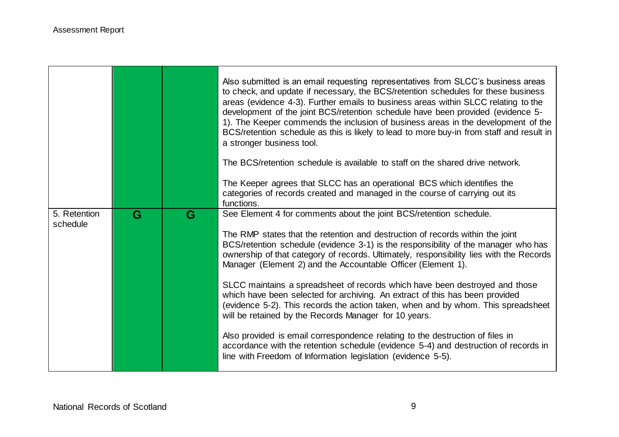|                          |   |   | Also submitted is an email requesting representatives from SLCC's business areas<br>to check, and update if necessary, the BCS/retention schedules for these business<br>areas (evidence 4-3). Further emails to business areas within SLCC relating to the<br>development of the joint BCS/retention schedule have been provided (evidence 5-<br>1). The Keeper commends the inclusion of business areas in the development of the<br>BCS/retention schedule as this is likely to lead to more buy-in from staff and result in<br>a stronger business tool. |
|--------------------------|---|---|--------------------------------------------------------------------------------------------------------------------------------------------------------------------------------------------------------------------------------------------------------------------------------------------------------------------------------------------------------------------------------------------------------------------------------------------------------------------------------------------------------------------------------------------------------------|
|                          |   |   | The BCS/retention schedule is available to staff on the shared drive network.                                                                                                                                                                                                                                                                                                                                                                                                                                                                                |
|                          |   |   | The Keeper agrees that SLCC has an operational BCS which identifies the<br>categories of records created and managed in the course of carrying out its<br>functions.                                                                                                                                                                                                                                                                                                                                                                                         |
| 5. Retention<br>schedule | G | G | See Element 4 for comments about the joint BCS/retention schedule.                                                                                                                                                                                                                                                                                                                                                                                                                                                                                           |
|                          |   |   | The RMP states that the retention and destruction of records within the joint<br>BCS/retention schedule (evidence 3-1) is the responsibility of the manager who has<br>ownership of that category of records. Ultimately, responsibility lies with the Records<br>Manager (Element 2) and the Accountable Officer (Element 1).                                                                                                                                                                                                                               |
|                          |   |   | SLCC maintains a spreadsheet of records which have been destroyed and those<br>which have been selected for archiving. An extract of this has been provided<br>(evidence 5-2). This records the action taken, when and by whom. This spreadsheet<br>will be retained by the Records Manager for 10 years.                                                                                                                                                                                                                                                    |
|                          |   |   | Also provided is email correspondence relating to the destruction of files in<br>accordance with the retention schedule (evidence 5-4) and destruction of records in<br>line with Freedom of Information legislation (evidence 5-5).                                                                                                                                                                                                                                                                                                                         |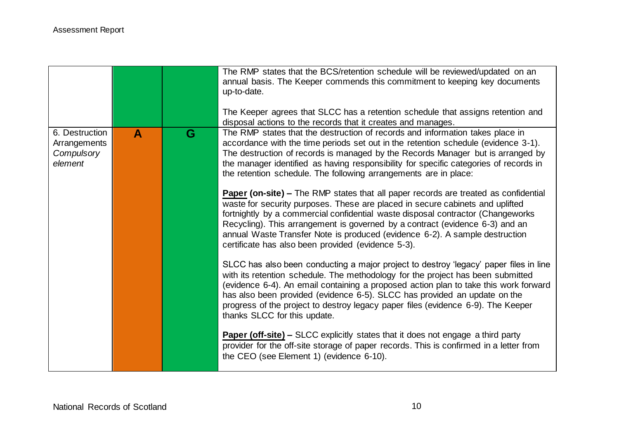|                                                         |                  |   | The RMP states that the BCS/retention schedule will be reviewed/updated on an<br>annual basis. The Keeper commends this commitment to keeping key documents<br>up-to-date.<br>The Keeper agrees that SLCC has a retention schedule that assigns retention and<br>disposal actions to the records that it creates and manages.                                                                                                                                                                                                                                                                                                                                                                                                                                                                                                                                                                              |
|---------------------------------------------------------|------------------|---|------------------------------------------------------------------------------------------------------------------------------------------------------------------------------------------------------------------------------------------------------------------------------------------------------------------------------------------------------------------------------------------------------------------------------------------------------------------------------------------------------------------------------------------------------------------------------------------------------------------------------------------------------------------------------------------------------------------------------------------------------------------------------------------------------------------------------------------------------------------------------------------------------------|
| 6. Destruction<br>Arrangements<br>Compulsory<br>element | $\blacktriangle$ | G | The RMP states that the destruction of records and information takes place in<br>accordance with the time periods set out in the retention schedule (evidence 3-1).<br>The destruction of records is managed by the Records Manager but is arranged by<br>the manager identified as having responsibility for specific categories of records in<br>the retention schedule. The following arrangements are in place:<br><b>Paper (on-site) –</b> The RMP states that all paper records are treated as confidential<br>waste for security purposes. These are placed in secure cabinets and uplifted<br>fortnightly by a commercial confidential waste disposal contractor (Changeworks<br>Recycling). This arrangement is governed by a contract (evidence 6-3) and an<br>annual Waste Transfer Note is produced (evidence 6-2). A sample destruction<br>certificate has also been provided (evidence 5-3). |
|                                                         |                  |   | SLCC has also been conducting a major project to destroy 'legacy' paper files in line<br>with its retention schedule. The methodology for the project has been submitted<br>(evidence 6-4). An email containing a proposed action plan to take this work forward<br>has also been provided (evidence 6-5). SLCC has provided an update on the<br>progress of the project to destroy legacy paper files (evidence 6-9). The Keeper<br>thanks SLCC for this update.<br><b>Paper (off-site) –</b> SLCC explicitly states that it does not engage a third party<br>provider for the off-site storage of paper records. This is confirmed in a letter from<br>the CEO (see Element 1) (evidence 6-10).                                                                                                                                                                                                          |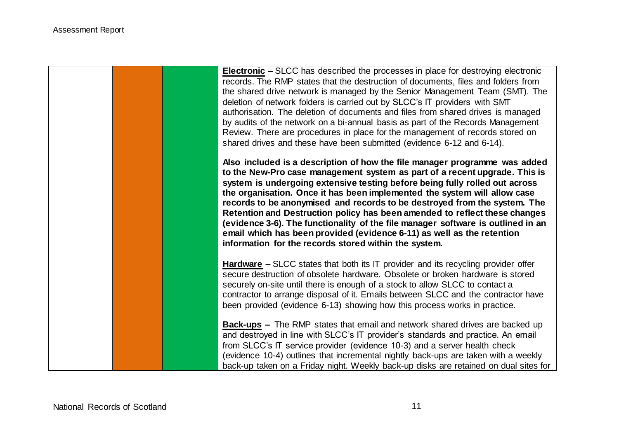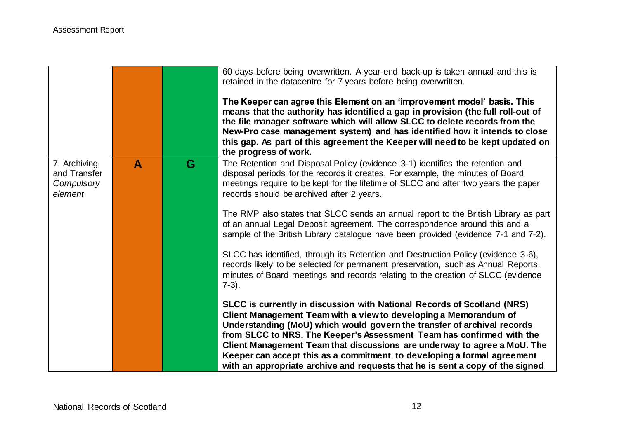|                                                       |              |    | 60 days before being overwritten. A year-end back-up is taken annual and this is<br>retained in the datacentre for 7 years before being overwritten.<br>The Keeper can agree this Element on an 'improvement model' basis. This<br>means that the authority has identified a gap in provision (the full roll-out of<br>the file manager software which will allow SLCC to delete records from the<br>New-Pro case management system) and has identified how it intends to close<br>this gap. As part of this agreement the Keeper will need to be kept updated on<br>the progress of work.                                                                                                                                                                                                                                              |
|-------------------------------------------------------|--------------|----|-----------------------------------------------------------------------------------------------------------------------------------------------------------------------------------------------------------------------------------------------------------------------------------------------------------------------------------------------------------------------------------------------------------------------------------------------------------------------------------------------------------------------------------------------------------------------------------------------------------------------------------------------------------------------------------------------------------------------------------------------------------------------------------------------------------------------------------------|
| 7. Archiving<br>and Transfer<br>Compulsory<br>element | $\mathbf{A}$ | G. | The Retention and Disposal Policy (evidence 3-1) identifies the retention and<br>disposal periods for the records it creates. For example, the minutes of Board<br>meetings require to be kept for the lifetime of SLCC and after two years the paper<br>records should be archived after 2 years.<br>The RMP also states that SLCC sends an annual report to the British Library as part<br>of an annual Legal Deposit agreement. The correspondence around this and a<br>sample of the British Library catalogue have been provided (evidence 7-1 and 7-2).<br>SLCC has identified, through its Retention and Destruction Policy (evidence 3-6),<br>records likely to be selected for permanent preservation, such as Annual Reports,<br>minutes of Board meetings and records relating to the creation of SLCC (evidence<br>$7-3$ ). |
|                                                       |              |    | SLCC is currently in discussion with National Records of Scotland (NRS)<br>Client Management Team with a view to developing a Memorandum of<br>Understanding (MoU) which would govern the transfer of archival records<br>from SLCC to NRS. The Keeper's Assessment Team has confirmed with the<br>Client Management Team that discussions are underway to agree a MoU. The<br>Keeper can accept this as a commitment to developing a formal agreement<br>with an appropriate archive and requests that he is sent a copy of the signed                                                                                                                                                                                                                                                                                                 |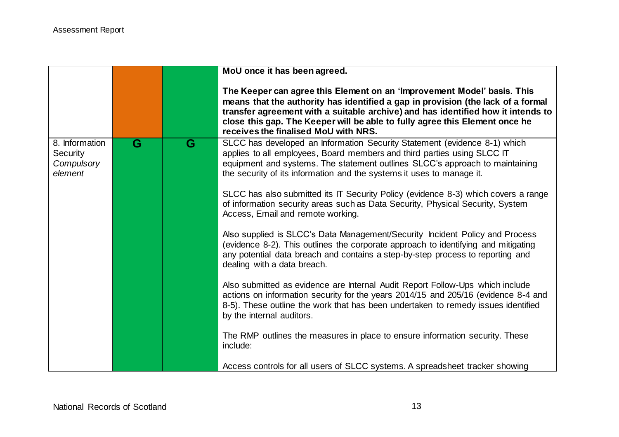|                                                            |   |   | MoU once it has been agreed.                                                                                                                                                                                                                                                                                                                                           |
|------------------------------------------------------------|---|---|------------------------------------------------------------------------------------------------------------------------------------------------------------------------------------------------------------------------------------------------------------------------------------------------------------------------------------------------------------------------|
|                                                            |   |   | The Keeper can agree this Element on an 'Improvement Model' basis. This<br>means that the authority has identified a gap in provision (the lack of a formal<br>transfer agreement with a suitable archive) and has identified how it intends to<br>close this gap. The Keeper will be able to fully agree this Element once he<br>receives the finalised MoU with NRS. |
| 8. Information<br><b>Security</b><br>Compulsory<br>element | G | G | SLCC has developed an Information Security Statement (evidence 8-1) which<br>applies to all employees, Board members and third parties using SLCC IT<br>equipment and systems. The statement outlines SLCC's approach to maintaining<br>the security of its information and the systems it uses to manage it.                                                          |
|                                                            |   |   | SLCC has also submitted its IT Security Policy (evidence 8-3) which covers a range<br>of information security areas such as Data Security, Physical Security, System<br>Access, Email and remote working.                                                                                                                                                              |
|                                                            |   |   | Also supplied is SLCC's Data Management/Security Incident Policy and Process<br>(evidence 8-2). This outlines the corporate approach to identifying and mitigating<br>any potential data breach and contains a step-by-step process to reporting and<br>dealing with a data breach.                                                                                    |
|                                                            |   |   | Also submitted as evidence are Internal Audit Report Follow-Ups which include<br>actions on information security for the years 2014/15 and 205/16 (evidence 8-4 and<br>8-5). These outline the work that has been undertaken to remedy issues identified<br>by the internal auditors.                                                                                  |
|                                                            |   |   | The RMP outlines the measures in place to ensure information security. These<br>include:                                                                                                                                                                                                                                                                               |
|                                                            |   |   | Access controls for all users of SLCC systems. A spreadsheet tracker showing                                                                                                                                                                                                                                                                                           |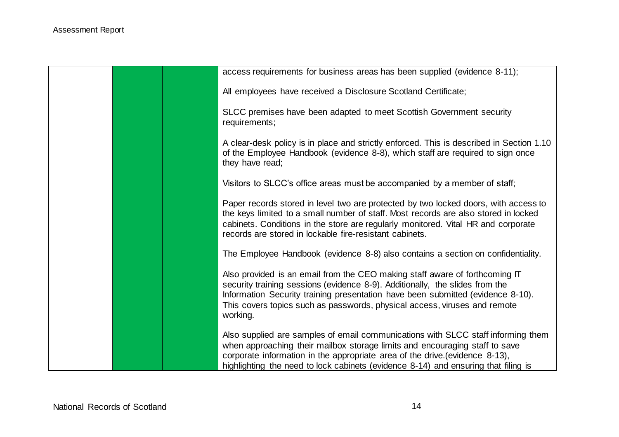|  | access requirements for business areas has been supplied (evidence 8-11);                                                                                                                                                                                                                                                               |
|--|-----------------------------------------------------------------------------------------------------------------------------------------------------------------------------------------------------------------------------------------------------------------------------------------------------------------------------------------|
|  | All employees have received a Disclosure Scotland Certificate;                                                                                                                                                                                                                                                                          |
|  | SLCC premises have been adapted to meet Scottish Government security<br>requirements;                                                                                                                                                                                                                                                   |
|  | A clear-desk policy is in place and strictly enforced. This is described in Section 1.10<br>of the Employee Handbook (evidence 8-8), which staff are required to sign once<br>they have read;                                                                                                                                           |
|  | Visitors to SLCC's office areas must be accompanied by a member of staff;                                                                                                                                                                                                                                                               |
|  | Paper records stored in level two are protected by two locked doors, with access to<br>the keys limited to a small number of staff. Most records are also stored in locked<br>cabinets. Conditions in the store are regularly monitored. Vital HR and corporate<br>records are stored in lockable fire-resistant cabinets.              |
|  | The Employee Handbook (evidence 8-8) also contains a section on confidentiality.                                                                                                                                                                                                                                                        |
|  | Also provided is an email from the CEO making staff aware of forthcoming IT<br>security training sessions (evidence 8-9). Additionally, the slides from the<br>Information Security training presentation have been submitted (evidence 8-10).<br>This covers topics such as passwords, physical access, viruses and remote<br>working. |
|  | Also supplied are samples of email communications with SLCC staff informing them<br>when approaching their mailbox storage limits and encouraging staff to save<br>corporate information in the appropriate area of the drive (evidence 8-13),<br>highlighting the need to lock cabinets (evidence 8-14) and ensuring that filing is    |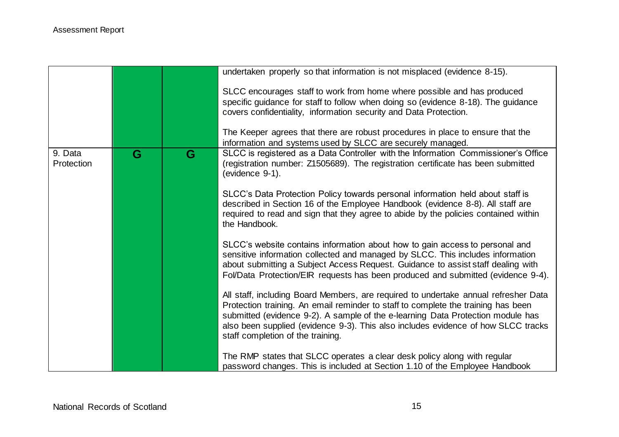|                       |   |   | undertaken properly so that information is not misplaced (evidence 8-15).                                                                                                                                                                                                                                                                                                             |
|-----------------------|---|---|---------------------------------------------------------------------------------------------------------------------------------------------------------------------------------------------------------------------------------------------------------------------------------------------------------------------------------------------------------------------------------------|
|                       |   |   | SLCC encourages staff to work from home where possible and has produced<br>specific guidance for staff to follow when doing so (evidence 8-18). The guidance<br>covers confidentiality, information security and Data Protection.                                                                                                                                                     |
|                       |   |   | The Keeper agrees that there are robust procedures in place to ensure that the<br>information and systems used by SLCC are securely managed.                                                                                                                                                                                                                                          |
| 9. Data<br>Protection | G | G | SLCC is registered as a Data Controller with the Information Commissioner's Office<br>(registration number: Z1505689). The registration certificate has been submitted<br>(evidence 9-1).                                                                                                                                                                                             |
|                       |   |   | SLCC's Data Protection Policy towards personal information held about staff is<br>described in Section 16 of the Employee Handbook (evidence 8-8). All staff are<br>required to read and sign that they agree to abide by the policies contained within<br>the Handbook.                                                                                                              |
|                       |   |   | SLCC's website contains information about how to gain access to personal and<br>sensitive information collected and managed by SLCC. This includes information<br>about submitting a Subject Access Request. Guidance to assist staff dealing with<br>Fol/Data Protection/EIR requests has been produced and submitted (evidence 9-4).                                                |
|                       |   |   | All staff, including Board Members, are required to undertake annual refresher Data<br>Protection training. An email reminder to staff to complete the training has been<br>submitted (evidence 9-2). A sample of the e-learning Data Protection module has<br>also been supplied (evidence 9-3). This also includes evidence of how SLCC tracks<br>staff completion of the training. |
|                       |   |   | The RMP states that SLCC operates a clear desk policy along with regular<br>password changes. This is included at Section 1.10 of the Employee Handbook                                                                                                                                                                                                                               |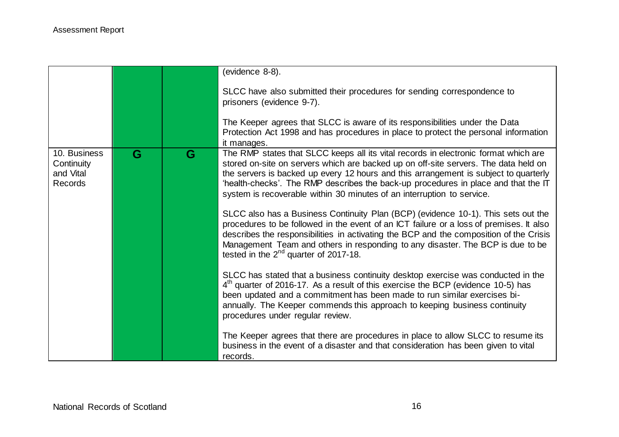|                                                           |   |   | (evidence 8-8).                                                                                                                                                                                                                                                                                                                                                                                                                    |
|-----------------------------------------------------------|---|---|------------------------------------------------------------------------------------------------------------------------------------------------------------------------------------------------------------------------------------------------------------------------------------------------------------------------------------------------------------------------------------------------------------------------------------|
|                                                           |   |   |                                                                                                                                                                                                                                                                                                                                                                                                                                    |
|                                                           |   |   | SLCC have also submitted their procedures for sending correspondence to<br>prisoners (evidence 9-7).                                                                                                                                                                                                                                                                                                                               |
|                                                           |   |   |                                                                                                                                                                                                                                                                                                                                                                                                                                    |
|                                                           |   |   | The Keeper agrees that SLCC is aware of its responsibilities under the Data                                                                                                                                                                                                                                                                                                                                                        |
|                                                           |   |   | Protection Act 1998 and has procedures in place to protect the personal information<br>it manages.                                                                                                                                                                                                                                                                                                                                 |
| 10. Business<br>Continuity<br>and Vital<br><b>Records</b> | G | G | The RMP states that SLCC keeps all its vital records in electronic format which are<br>stored on-site on servers which are backed up on off-site servers. The data held on<br>the servers is backed up every 12 hours and this arrangement is subject to quarterly<br>'health-checks'. The RMP describes the back-up procedures in place and that the IT<br>system is recoverable within 30 minutes of an interruption to service. |
|                                                           |   |   | SLCC also has a Business Continuity Plan (BCP) (evidence 10-1). This sets out the<br>procedures to be followed in the event of an ICT failure or a loss of premises. It also<br>describes the responsibilities in activating the BCP and the composition of the Crisis<br>Management Team and others in responding to any disaster. The BCP is due to be<br>tested in the $2^{nd}$ quarter of 2017-18.                             |
|                                                           |   |   | SLCC has stated that a business continuity desktop exercise was conducted in the<br>$4th$ quarter of 2016-17. As a result of this exercise the BCP (evidence 10-5) has<br>been updated and a commitment has been made to run similar exercises bi-<br>annually. The Keeper commends this approach to keeping business continuity<br>procedures under regular review.                                                               |
|                                                           |   |   | The Keeper agrees that there are procedures in place to allow SLCC to resume its<br>business in the event of a disaster and that consideration has been given to vital<br>records.                                                                                                                                                                                                                                                 |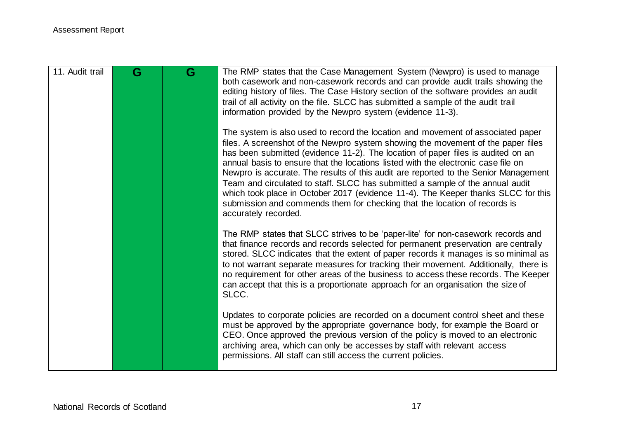| 11. Audit trail | G | G | The RMP states that the Case Management System (Newpro) is used to manage<br>both casework and non-casework records and can provide audit trails showing the<br>editing history of files. The Case History section of the software provides an audit<br>trail of all activity on the file. SLCC has submitted a sample of the audit trail<br>information provided by the Newpro system (evidence 11-3).                                                                                                                                                                                                                                                                                                        |
|-----------------|---|---|----------------------------------------------------------------------------------------------------------------------------------------------------------------------------------------------------------------------------------------------------------------------------------------------------------------------------------------------------------------------------------------------------------------------------------------------------------------------------------------------------------------------------------------------------------------------------------------------------------------------------------------------------------------------------------------------------------------|
|                 |   |   | The system is also used to record the location and movement of associated paper<br>files. A screenshot of the Newpro system showing the movement of the paper files<br>has been submitted (evidence 11-2). The location of paper files is audited on an<br>annual basis to ensure that the locations listed with the electronic case file on<br>Newpro is accurate. The results of this audit are reported to the Senior Management<br>Team and circulated to staff. SLCC has submitted a sample of the annual audit<br>which took place in October 2017 (evidence 11-4). The Keeper thanks SLCC for this<br>submission and commends them for checking that the location of records is<br>accurately recorded. |
|                 |   |   | The RMP states that SLCC strives to be 'paper-lite' for non-casework records and<br>that finance records and records selected for permanent preservation are centrally<br>stored. SLCC indicates that the extent of paper records it manages is so minimal as<br>to not warrant separate measures for tracking their movement. Additionally, there is<br>no requirement for other areas of the business to access these records. The Keeper<br>can accept that this is a proportionate approach for an organisation the size of<br>SLCC.                                                                                                                                                                       |
|                 |   |   | Updates to corporate policies are recorded on a document control sheet and these<br>must be approved by the appropriate governance body, for example the Board or<br>CEO. Once approved the previous version of the policy is moved to an electronic<br>archiving area, which can only be accesses by staff with relevant access<br>permissions. All staff can still access the current policies.                                                                                                                                                                                                                                                                                                              |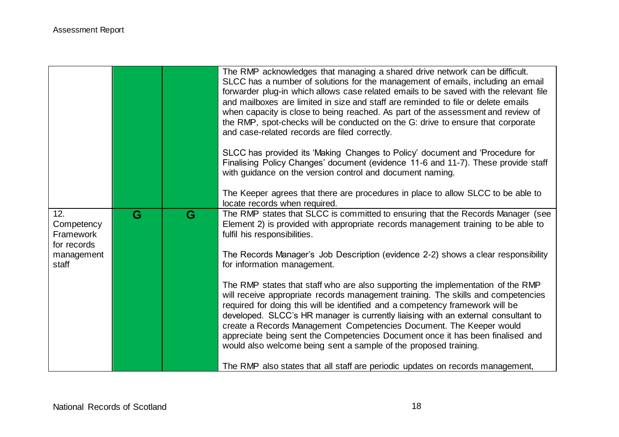|                                                                      |   |   | The RMP acknowledges that managing a shared drive network can be difficult.<br>SLCC has a number of solutions for the management of emails, including an email<br>forwarder plug-in which allows case related emails to be saved with the relevant file<br>and mailboxes are limited in size and staff are reminded to file or delete emails<br>when capacity is close to being reached. As part of the assessment and review of<br>the RMP, spot-checks will be conducted on the G: drive to ensure that corporate<br>and case-related records are filed correctly.<br>SLCC has provided its 'Making Changes to Policy' document and 'Procedure for<br>Finalising Policy Changes' document (evidence 11-6 and 11-7). These provide staff<br>with guidance on the version control and document naming.<br>The Keeper agrees that there are procedures in place to allow SLCC to be able to |
|----------------------------------------------------------------------|---|---|--------------------------------------------------------------------------------------------------------------------------------------------------------------------------------------------------------------------------------------------------------------------------------------------------------------------------------------------------------------------------------------------------------------------------------------------------------------------------------------------------------------------------------------------------------------------------------------------------------------------------------------------------------------------------------------------------------------------------------------------------------------------------------------------------------------------------------------------------------------------------------------------|
|                                                                      |   |   | locate records when required.                                                                                                                                                                                                                                                                                                                                                                                                                                                                                                                                                                                                                                                                                                                                                                                                                                                              |
| 12.<br>Competency<br>Framework<br>for records<br>management<br>staff | G | G | The RMP states that SLCC is committed to ensuring that the Records Manager (see<br>Element 2) is provided with appropriate records management training to be able to<br>fulfil his responsibilities.<br>The Records Manager's Job Description (evidence 2-2) shows a clear responsibility<br>for information management.                                                                                                                                                                                                                                                                                                                                                                                                                                                                                                                                                                   |
|                                                                      |   |   | The RMP states that staff who are also supporting the implementation of the RMP<br>will receive appropriate records management training. The skills and competencies<br>required for doing this will be identified and a competency framework will be<br>developed. SLCC's HR manager is currently liaising with an external consultant to<br>create a Records Management Competencies Document. The Keeper would<br>appreciate being sent the Competencies Document once it has been finalised and<br>would also welcome being sent a sample of the proposed training.                                                                                                                                                                                                                                                                                                                    |
|                                                                      |   |   | The RMP also states that all staff are periodic updates on records management,                                                                                                                                                                                                                                                                                                                                                                                                                                                                                                                                                                                                                                                                                                                                                                                                             |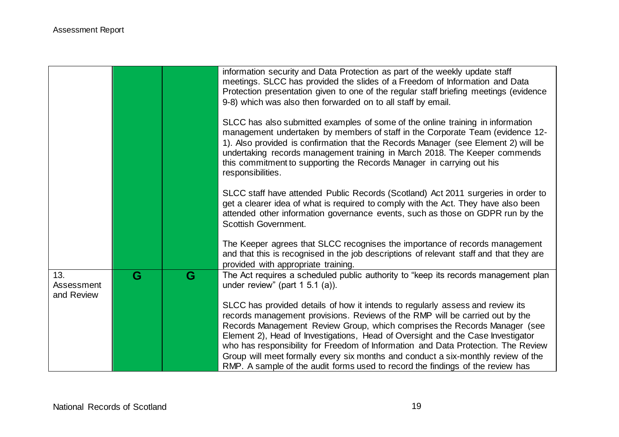|                                 |   |   | information security and Data Protection as part of the weekly update staff<br>meetings. SLCC has provided the slides of a Freedom of Information and Data<br>Protection presentation given to one of the regular staff briefing meetings (evidence<br>9-8) which was also then forwarded on to all staff by email.                                                                                                               |
|---------------------------------|---|---|-----------------------------------------------------------------------------------------------------------------------------------------------------------------------------------------------------------------------------------------------------------------------------------------------------------------------------------------------------------------------------------------------------------------------------------|
|                                 |   |   | SLCC has also submitted examples of some of the online training in information<br>management undertaken by members of staff in the Corporate Team (evidence 12-<br>1). Also provided is confirmation that the Records Manager (see Element 2) will be<br>undertaking records management training in March 2018. The Keeper commends<br>this commitment to supporting the Records Manager in carrying out his<br>responsibilities. |
|                                 |   |   | SLCC staff have attended Public Records (Scotland) Act 2011 surgeries in order to<br>get a clearer idea of what is required to comply with the Act. They have also been<br>attended other information governance events, such as those on GDPR run by the<br>Scottish Government.                                                                                                                                                 |
|                                 |   |   | The Keeper agrees that SLCC recognises the importance of records management<br>and that this is recognised in the job descriptions of relevant staff and that they are<br>provided with appropriate training.                                                                                                                                                                                                                     |
| 13.<br>Assessment<br>and Review | G | G | The Act requires a scheduled public authority to "keep its records management plan<br>under review" (part $1\,5.1\,(a)$ ).                                                                                                                                                                                                                                                                                                        |
|                                 |   |   | SLCC has provided details of how it intends to regularly assess and review its                                                                                                                                                                                                                                                                                                                                                    |
|                                 |   |   | records management provisions. Reviews of the RMP will be carried out by the                                                                                                                                                                                                                                                                                                                                                      |
|                                 |   |   | Records Management Review Group, which comprises the Records Manager (see                                                                                                                                                                                                                                                                                                                                                         |
|                                 |   |   | Element 2), Head of Investigations, Head of Oversight and the Case Investigator<br>who has responsibility for Freedom of Information and Data Protection. The Review                                                                                                                                                                                                                                                              |
|                                 |   |   | Group will meet formally every six months and conduct a six-monthly review of the                                                                                                                                                                                                                                                                                                                                                 |
|                                 |   |   | RMP. A sample of the audit forms used to record the findings of the review has                                                                                                                                                                                                                                                                                                                                                    |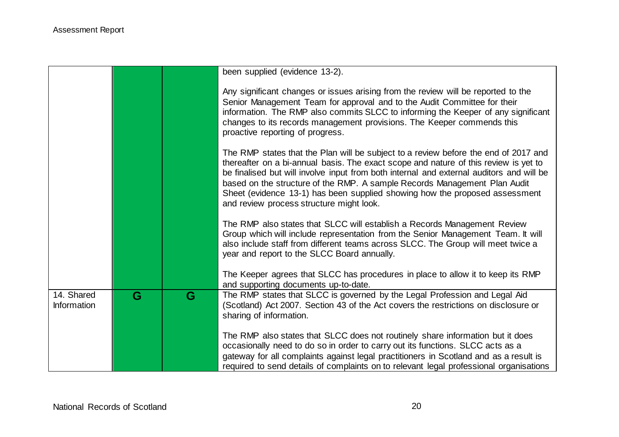|                           |   |   | been supplied (evidence 13-2).                                                                                                                                                                                                                                                                                                                                                                                                                                                  |
|---------------------------|---|---|---------------------------------------------------------------------------------------------------------------------------------------------------------------------------------------------------------------------------------------------------------------------------------------------------------------------------------------------------------------------------------------------------------------------------------------------------------------------------------|
|                           |   |   | Any significant changes or issues arising from the review will be reported to the<br>Senior Management Team for approval and to the Audit Committee for their<br>information. The RMP also commits SLCC to informing the Keeper of any significant<br>changes to its records management provisions. The Keeper commends this<br>proactive reporting of progress.                                                                                                                |
|                           |   |   | The RMP states that the Plan will be subject to a review before the end of 2017 and<br>thereafter on a bi-annual basis. The exact scope and nature of this review is yet to<br>be finalised but will involve input from both internal and external auditors and will be<br>based on the structure of the RMP. A sample Records Management Plan Audit<br>Sheet (evidence 13-1) has been supplied showing how the proposed assessment<br>and review process structure might look. |
|                           |   |   | The RMP also states that SLCC will establish a Records Management Review<br>Group which will include representation from the Senior Management Team. It will<br>also include staff from different teams across SLCC. The Group will meet twice a<br>year and report to the SLCC Board annually.                                                                                                                                                                                 |
|                           |   |   | The Keeper agrees that SLCC has procedures in place to allow it to keep its RMP<br>and supporting documents up-to-date.                                                                                                                                                                                                                                                                                                                                                         |
| 14. Shared<br>Information | G | G | The RMP states that SLCC is governed by the Legal Profession and Legal Aid<br>(Scotland) Act 2007. Section 43 of the Act covers the restrictions on disclosure or<br>sharing of information.                                                                                                                                                                                                                                                                                    |
|                           |   |   | The RMP also states that SLCC does not routinely share information but it does<br>occasionally need to do so in order to carry out its functions. SLCC acts as a<br>gateway for all complaints against legal practitioners in Scotland and as a result is<br>required to send details of complaints on to relevant legal professional organisations                                                                                                                             |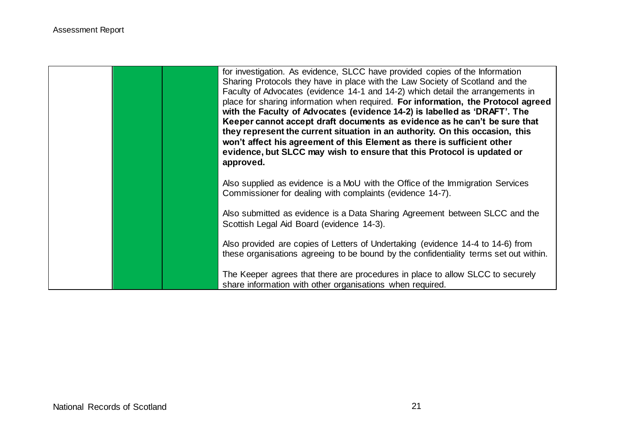|  | for investigation. As evidence, SLCC have provided copies of the Information<br>Sharing Protocols they have in place with the Law Society of Scotland and the<br>Faculty of Advocates (evidence 14-1 and 14-2) which detail the arrangements in<br>place for sharing information when required. For information, the Protocol agreed<br>with the Faculty of Advocates (evidence 14-2) is labelled as 'DRAFT'. The<br>Keeper cannot accept draft documents as evidence as he can't be sure that<br>they represent the current situation in an authority. On this occasion, this<br>won't affect his agreement of this Element as there is sufficient other<br>evidence, but SLCC may wish to ensure that this Protocol is updated or<br>approved. |
|--|--------------------------------------------------------------------------------------------------------------------------------------------------------------------------------------------------------------------------------------------------------------------------------------------------------------------------------------------------------------------------------------------------------------------------------------------------------------------------------------------------------------------------------------------------------------------------------------------------------------------------------------------------------------------------------------------------------------------------------------------------|
|  | Also supplied as evidence is a MoU with the Office of the Immigration Services<br>Commissioner for dealing with complaints (evidence 14-7).                                                                                                                                                                                                                                                                                                                                                                                                                                                                                                                                                                                                      |
|  | Also submitted as evidence is a Data Sharing Agreement between SLCC and the<br>Scottish Legal Aid Board (evidence 14-3).                                                                                                                                                                                                                                                                                                                                                                                                                                                                                                                                                                                                                         |
|  | Also provided are copies of Letters of Undertaking (evidence 14-4 to 14-6) from<br>these organisations agreeing to be bound by the confidentiality terms set out within.                                                                                                                                                                                                                                                                                                                                                                                                                                                                                                                                                                         |
|  | The Keeper agrees that there are procedures in place to allow SLCC to securely<br>share information with other organisations when required.                                                                                                                                                                                                                                                                                                                                                                                                                                                                                                                                                                                                      |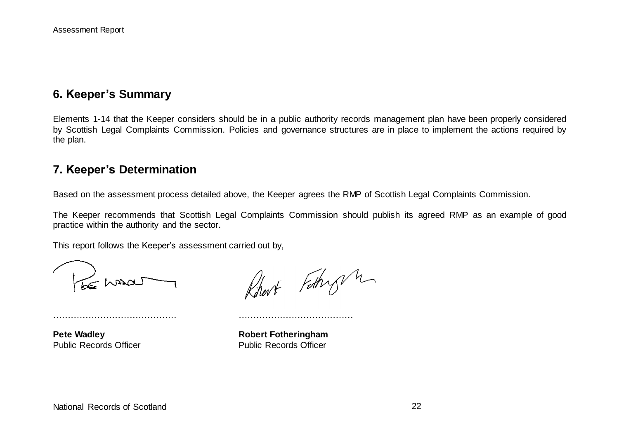## **6. Keeper's Summary**

Elements 1-14 that the Keeper considers should be in a public authority records management plan have been properly considered by Scottish Legal Complaints Commission. Policies and governance structures are in place to implement the actions required by the plan.

## **7. Keeper's Determination**

Based on the assessment process detailed above, the Keeper agrees the RMP of Scottish Legal Complaints Commission.

The Keeper recommends that Scottish Legal Complaints Commission should publish its agreed RMP as an example of good practice within the authority and the sector.

This report follows the Keeper's assessment carried out by,

…………………………………… …………………………………

 $\leq$  what

Robert Fothy m

**Pete Wadley Robert Fotheringham** Public Records Officer **Public Records Officer** Public Records Officer